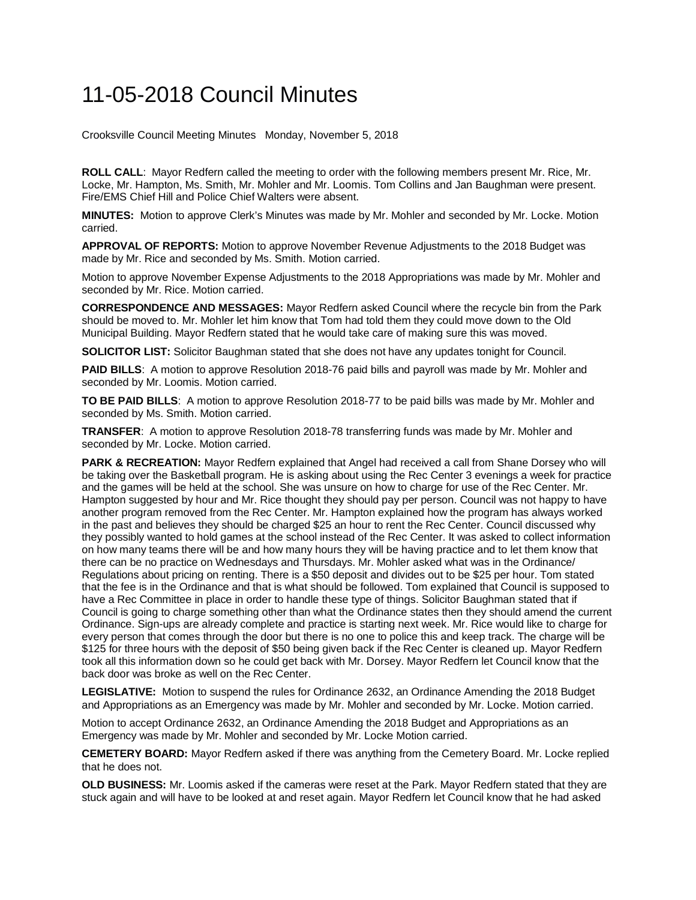## 11-05-2018 Council Minutes

Crooksville Council Meeting Minutes Monday, November 5, 2018

**ROLL CALL**: Mayor Redfern called the meeting to order with the following members present Mr. Rice, Mr. Locke, Mr. Hampton, Ms. Smith, Mr. Mohler and Mr. Loomis. Tom Collins and Jan Baughman were present. Fire/EMS Chief Hill and Police Chief Walters were absent.

**MINUTES:** Motion to approve Clerk's Minutes was made by Mr. Mohler and seconded by Mr. Locke. Motion carried.

**APPROVAL OF REPORTS:** Motion to approve November Revenue Adjustments to the 2018 Budget was made by Mr. Rice and seconded by Ms. Smith. Motion carried.

Motion to approve November Expense Adjustments to the 2018 Appropriations was made by Mr. Mohler and seconded by Mr. Rice. Motion carried.

**CORRESPONDENCE AND MESSAGES:** Mayor Redfern asked Council where the recycle bin from the Park should be moved to. Mr. Mohler let him know that Tom had told them they could move down to the Old Municipal Building. Mayor Redfern stated that he would take care of making sure this was moved.

**SOLICITOR LIST:** Solicitor Baughman stated that she does not have any updates tonight for Council.

**PAID BILLS**: A motion to approve Resolution 2018-76 paid bills and payroll was made by Mr. Mohler and seconded by Mr. Loomis. Motion carried.

**TO BE PAID BILLS**: A motion to approve Resolution 2018-77 to be paid bills was made by Mr. Mohler and seconded by Ms. Smith. Motion carried.

**TRANSFER**: A motion to approve Resolution 2018-78 transferring funds was made by Mr. Mohler and seconded by Mr. Locke. Motion carried.

**PARK & RECREATION:** Mayor Redfern explained that Angel had received a call from Shane Dorsey who will be taking over the Basketball program. He is asking about using the Rec Center 3 evenings a week for practice and the games will be held at the school. She was unsure on how to charge for use of the Rec Center. Mr. Hampton suggested by hour and Mr. Rice thought they should pay per person. Council was not happy to have another program removed from the Rec Center. Mr. Hampton explained how the program has always worked in the past and believes they should be charged \$25 an hour to rent the Rec Center. Council discussed why they possibly wanted to hold games at the school instead of the Rec Center. It was asked to collect information on how many teams there will be and how many hours they will be having practice and to let them know that there can be no practice on Wednesdays and Thursdays. Mr. Mohler asked what was in the Ordinance/ Regulations about pricing on renting. There is a \$50 deposit and divides out to be \$25 per hour. Tom stated that the fee is in the Ordinance and that is what should be followed. Tom explained that Council is supposed to have a Rec Committee in place in order to handle these type of things. Solicitor Baughman stated that if Council is going to charge something other than what the Ordinance states then they should amend the current Ordinance. Sign-ups are already complete and practice is starting next week. Mr. Rice would like to charge for every person that comes through the door but there is no one to police this and keep track. The charge will be \$125 for three hours with the deposit of \$50 being given back if the Rec Center is cleaned up. Mayor Redfern took all this information down so he could get back with Mr. Dorsey. Mayor Redfern let Council know that the back door was broke as well on the Rec Center.

**LEGISLATIVE:** Motion to suspend the rules for Ordinance 2632, an Ordinance Amending the 2018 Budget and Appropriations as an Emergency was made by Mr. Mohler and seconded by Mr. Locke. Motion carried.

Motion to accept Ordinance 2632, an Ordinance Amending the 2018 Budget and Appropriations as an Emergency was made by Mr. Mohler and seconded by Mr. Locke Motion carried.

**CEMETERY BOARD:** Mayor Redfern asked if there was anything from the Cemetery Board. Mr. Locke replied that he does not.

**OLD BUSINESS:** Mr. Loomis asked if the cameras were reset at the Park. Mayor Redfern stated that they are stuck again and will have to be looked at and reset again. Mayor Redfern let Council know that he had asked